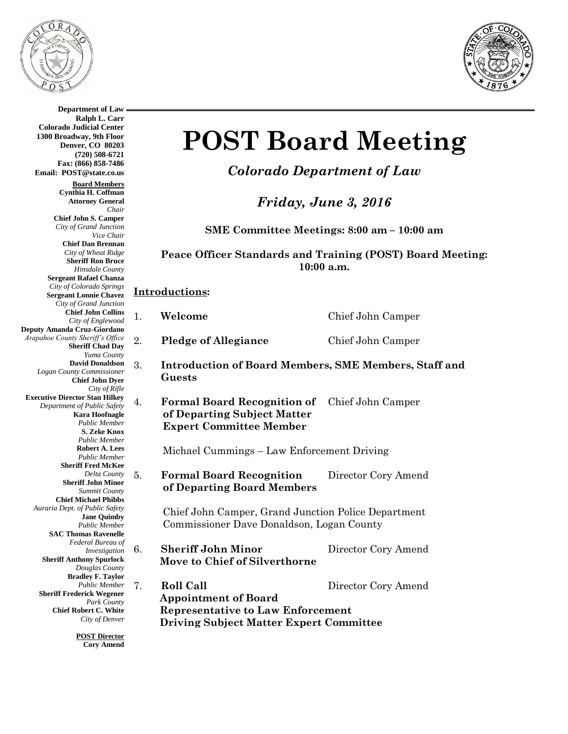

**Department of Law**



**Ralph L. Carr Colorado Judicial Center 1300 Broadway, 9th Floor Denver, CO 80203 (720) 508-6721 Fax: (866) 858-7486 Email: POST@state.co.us Board Members Cynthia H. Coffman Attorney General** *Chair* **Chief John S. Camper** *City of Grand Junction Vice Chair* **Chief Dan Brennan** *City of Wheat Ridge* **Sheriff Ron Bruce** *Hinsdale County* **Sergeant Rafael Chanza** *City of Colorado Springs* **Sergeant Lonnie Chavez** *City of Grand Junction* **Chief John Collins** *City of Englewood* **Deputy Amanda Cruz-Giordano** *Arapahoe County Sheriff's Office* **Sheriff Chad Day** *Yuma County* **David Donaldson** *Logan County Commissioner* **Chief John Dyer** *City of Rifle* **Executive Director Stan Hilkey** *Department of Public Safety* **Kara Hoofnagle** *Public Member* **S. Zeke Knox** *Public Member* **Robert A. Lees** *Public Member* **Sheriff Fred McKee** *Delta County* **Sheriff John Minor** *Summit County* **Chief Michael Phibbs** *Auraria Dept. of Public Safety* **Jane Quimby** *Public Member* **SAC Thomas Ravenelle** *Federal Bureau of Investigation* **Sheriff Anthony Spurlock** *Douglas County* **Bradley F. Taylor** *Public Member* **Sheriff Frederick Wegener** *Park County* **Chief Robert C. White** *City of Denver* **POST Director**

**Cory Amend**

## **POST Board Meeting**

*Colorado Department of Law*

*Friday, June 3, 2016*

**SME Committee Meetings: 8:00 am – 10:00 am**

**Peace Officer Standards and Training (POST) Board Meeting: 10:00 a.m.**

## **Introductions:**

| Welcome | Chief John Camper |
|---------|-------------------|
|         |                   |

- 2. **Pledge of Allegiance** Chief John Camper
- 3. **Introduction of Board Members, SME Members, Staff and Guests**
- 4. **Formal Board Recognition of** Chief John Camper **of Departing Subject Matter Expert Committee Member**

Michael Cummings – Law Enforcement Driving

5. **Formal Board Recognition** Director Cory Amend **of Departing Board Members**

> Chief John Camper, Grand Junction Police Department Commissioner Dave Donaldson, Logan County

- 6. **Sheriff John Minor** Director Cory Amend  **Move to Chief of Silverthorne**
- 7. **Roll Call** Director Cory Amend  **Appointment of Board Representative to Law Enforcement Driving Subject Matter Expert Committee**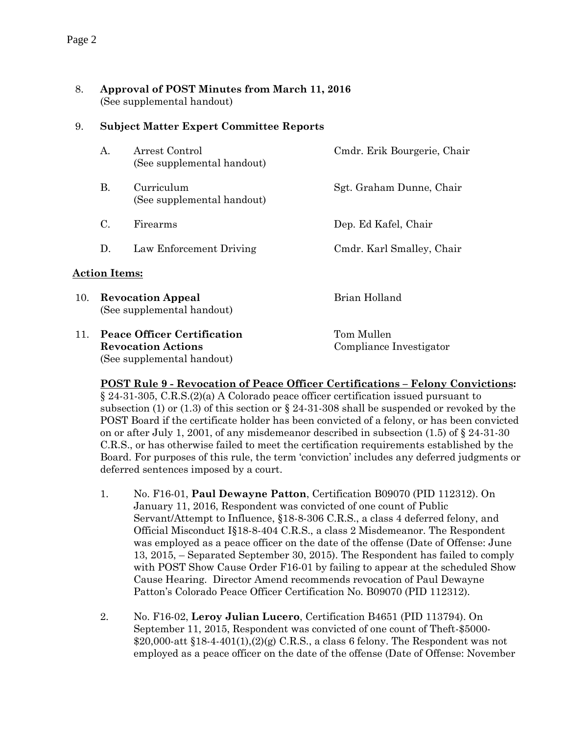8. **Approval of POST Minutes from March 11, 2016** (See supplemental handout)

## 9. **Subject Matter Expert Committee Reports**

|                      | A.                                                                                            | Arrest Control<br>(See supplemental handout) | Cmdr. Erik Bourgerie, Chair           |  |  |  |
|----------------------|-----------------------------------------------------------------------------------------------|----------------------------------------------|---------------------------------------|--|--|--|
|                      | В.                                                                                            | Curriculum<br>(See supplemental handout)     | Sgt. Graham Dunne, Chair              |  |  |  |
|                      | C.                                                                                            | Firearms                                     | Dep. Ed Kafel, Chair                  |  |  |  |
|                      | D.                                                                                            | Law Enforcement Driving                      | Cmdr. Karl Smalley, Chair             |  |  |  |
| <b>Action Items:</b> |                                                                                               |                                              |                                       |  |  |  |
| 10.                  | <b>Revocation Appeal</b><br>(See supplemental handout)                                        |                                              | Brian Holland                         |  |  |  |
| 11.                  | <b>Peace Officer Certification</b><br><b>Revocation Actions</b><br>(See supplemental handout) |                                              | Tom Mullen<br>Compliance Investigator |  |  |  |

**POST Rule 9 - Revocation of Peace Officer Certifications – Felony Convictions:**  § 24-31-305, C.R.S.(2)(a) A Colorado peace officer certification issued pursuant to subsection (1) or (1.3) of this section or  $\S 24-31-308$  shall be suspended or revoked by the POST Board if the certificate holder has been convicted of a felony, or has been convicted on or after July 1, 2001, of any misdemeanor described in subsection  $(1.5)$  of § 24-31-30 C.R.S., or has otherwise failed to meet the certification requirements established by the Board. For purposes of this rule, the term 'conviction' includes any deferred judgments or deferred sentences imposed by a court.

- 1. No. F16-01, **Paul Dewayne Patton**, Certification B09070 (PID 112312). On January 11, 2016, Respondent was convicted of one count of Public Servant/Attempt to Influence, §18-8-306 C.R.S., a class 4 deferred felony, and Official Misconduct I§18-8-404 C.R.S., a class 2 Misdemeanor. The Respondent was employed as a peace officer on the date of the offense (Date of Offense: June 13, 2015, – Separated September 30, 2015). The Respondent has failed to comply with POST Show Cause Order F16-01 by failing to appear at the scheduled Show Cause Hearing. Director Amend recommends revocation of Paul Dewayne Patton's Colorado Peace Officer Certification No. B09070 (PID 112312).
- 2. No. F16-02, **Leroy Julian Lucero**, Certification B4651 (PID 113794). On September 11, 2015, Respondent was convicted of one count of Theft-\$5000-  $$20,000\text{-}att \$18-4-401(1), (2)(g) C.R.S., a class 6 fellow. The Respondent was not$ employed as a peace officer on the date of the offense (Date of Offense: November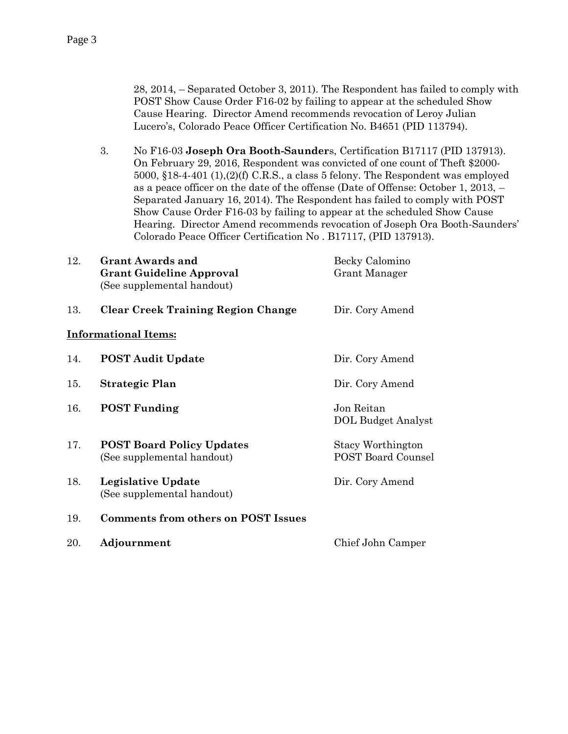28, 2014, – Separated October 3, 2011). The Respondent has failed to comply with POST Show Cause Order F16-02 by failing to appear at the scheduled Show Cause Hearing. Director Amend recommends revocation of Leroy Julian Lucero's, Colorado Peace Officer Certification No. B4651 (PID 113794).

3. No F16-03 **Joseph Ora Booth-Saunder**s, Certification B17117 (PID 137913). On February 29, 2016, Respondent was convicted of one count of Theft \$2000- 5000, §18-4-401 (1),(2)(f) C.R.S., a class 5 felony. The Respondent was employed as a peace officer on the date of the offense (Date of Offense: October 1, 2013, – Separated January 16, 2014). The Respondent has failed to comply with POST Show Cause Order F16-03 by failing to appear at the scheduled Show Cause Hearing. Director Amend recommends revocation of Joseph Ora Booth-Saunders' Colorado Peace Officer Certification No . B17117, (PID 137913).

| 12. | <b>Grant Awards and</b><br><b>Grant Guideline Approval</b><br>(See supplemental handout) | Becky Calomino<br>Grant Manager                |
|-----|------------------------------------------------------------------------------------------|------------------------------------------------|
| 13. | <b>Clear Creek Training Region Change</b>                                                | Dir. Cory Amend                                |
|     | <b>Informational Items:</b>                                                              |                                                |
| 14. | <b>POST Audit Update</b>                                                                 | Dir. Cory Amend                                |
| 15. | <b>Strategic Plan</b>                                                                    | Dir. Cory Amend                                |
| 16. | <b>POST Funding</b>                                                                      | Jon Reitan<br><b>DOL Budget Analyst</b>        |
| 17. | <b>POST Board Policy Updates</b><br>(See supplemental handout)                           | Stacy Worthington<br><b>POST Board Counsel</b> |
| 18. | Legislative Update<br>(See supplemental handout)                                         | Dir. Cory Amend                                |
| 19. | Comments from others on POST Issues                                                      |                                                |
| 20. | Adjournment                                                                              | Chief John Camper                              |